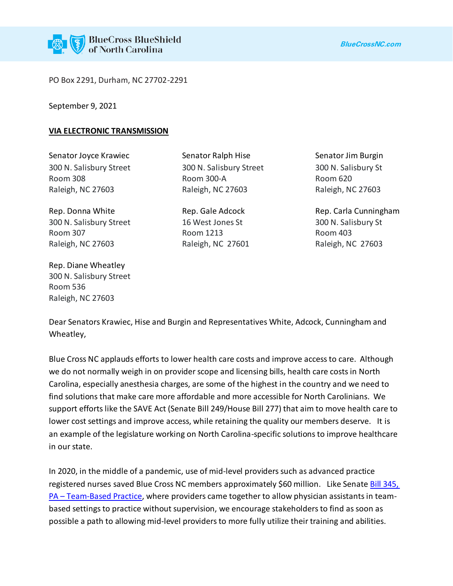PO Box 2291, Durham, NC 27702-2291

September 9, 2021

## **VIA ELECTRONIC TRANSMISSION**

Senator Joyce Krawiec **Senator Ralph Hise** Senator Senator Jim Burgin

300 N. Salisbury Street 16 West Jones St 300 N. Salisbury St Room 307 Room 1213 Room 1213 Room 403 Raleigh, NC 27603 Raleigh, NC 27601 Raleigh, NC 27603

Rep. Diane Wheatley 300 N. Salisbury Street Room 536 Raleigh, NC 27603

300 N. Salisbury Street 300 N. Salisbury Street 300 N. Salisbury St Room 308 Room 300-A Room 300-A Room 308 Raleigh, NC 27603 Raleigh, NC 27603 Raleigh, NC 27603

Rep. Donna White **Rep. Gale Adcock** Rep. Carla Cunningham

Dear Senators Krawiec, Hise and Burgin and Representatives White, Adcock, Cunningham and Wheatley,

Blue Cross NC applauds efforts to lower health care costs and improve access to care. Although we do not normally weigh in on provider scope and licensing bills, health care costs in North Carolina, especially anesthesia charges, are some of the highest in the country and we need to find solutions that make care more affordable and more accessible for North Carolinians. We support efforts like the SAVE Act (Senate Bill 249/House Bill 277) that aim to move health care to lower cost settings and improve access, while retaining the quality our members deserve. It is an example of the legislature working on North Carolina-specific solutions to improve healthcare in our state.

In 2020, in the middle of a pandemic, use of mid-level providers such as advanced practice registered nurses saved Blue Cross NC members approximately \$60 million. Like Senate Bill 345, PA – [Team-Based Practice,](https://www.ncleg.gov/Sessions/2021/Bills/Senate/PDF/S345v1.pdf) where providers came together to allow physician assistants in teambased settings to practice without supervision, we encourage stakeholders to find as soon as possible a path to allowing mid-level providers to more fully utilize their training and abilities.